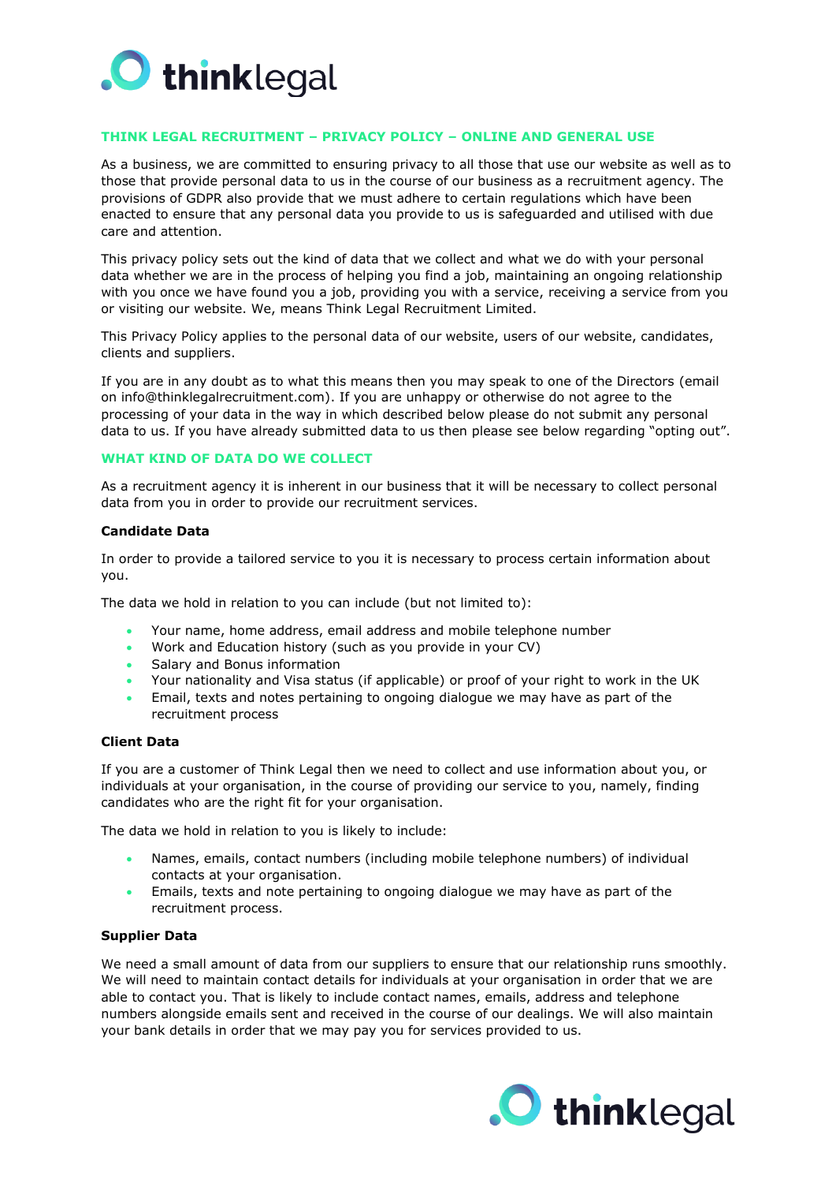

# **THINK LEGAL RECRUITMENT – PRIVACY POLICY – ONLINE AND GENERAL USE**

As a business, we are committed to ensuring privacy to all those that use our website as well as to those that provide personal data to us in the course of our business as a recruitment agency. The provisions of GDPR also provide that we must adhere to certain regulations which have been enacted to ensure that any personal data you provide to us is safeguarded and utilised with due care and attention.

This privacy policy sets out the kind of data that we collect and what we do with your personal data whether we are in the process of helping you find a job, maintaining an ongoing relationship with you once we have found you a job, providing you with a service, receiving a service from you or visiting our website. We, means Think Legal Recruitment Limited.

This Privacy Policy applies to the personal data of our website, users of our website, candidates, clients and suppliers.

If you are in any doubt as to what this means then you may speak to one of the Directors (email on info@thinklegalrecruitment.com). If you are unhappy or otherwise do not agree to the processing of your data in the way in which described below please do not submit any personal data to us. If you have already submitted data to us then please see below regarding "opting out".

#### **WHAT KIND OF DATA DO WE COLLECT**

As a recruitment agency it is inherent in our business that it will be necessary to collect personal data from you in order to provide our recruitment services.

## **Candidate Data**

In order to provide a tailored service to you it is necessary to process certain information about you.

The data we hold in relation to you can include (but not limited to):

- Your name, home address, email address and mobile telephone number
- Work and Education history (such as you provide in your CV)
- Salary and Bonus information
- Your nationality and Visa status (if applicable) or proof of your right to work in the UK
- Email, texts and notes pertaining to ongoing dialogue we may have as part of the recruitment process

#### **Client Data**

If you are a customer of Think Legal then we need to collect and use information about you, or individuals at your organisation, in the course of providing our service to you, namely, finding candidates who are the right fit for your organisation.

The data we hold in relation to you is likely to include:

- Names, emails, contact numbers (including mobile telephone numbers) of individual contacts at your organisation.
- Emails, texts and note pertaining to ongoing dialogue we may have as part of the recruitment process.

#### **Supplier Data**

We need a small amount of data from our suppliers to ensure that our relationship runs smoothly. We will need to maintain contact details for individuals at your organisation in order that we are able to contact you. That is likely to include contact names, emails, address and telephone numbers alongside emails sent and received in the course of our dealings. We will also maintain your bank details in order that we may pay you for services provided to us.

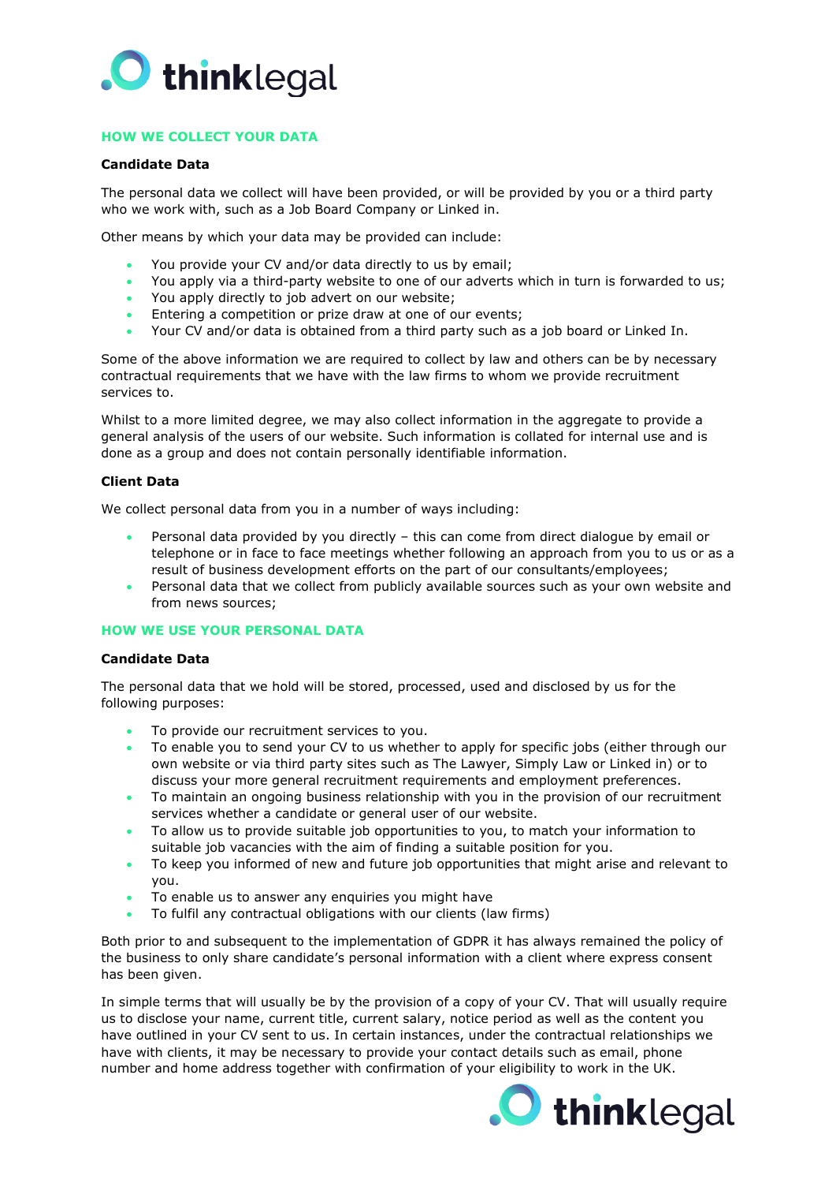

# **HOW WE COLLECT YOUR DATA**

### **Candidate Data**

The personal data we collect will have been provided, or will be provided by you or a third party who we work with, such as a Job Board Company or Linked in.

Other means by which your data may be provided can include:

- You provide your CV and/or data directly to us by email;
- You apply via a third-party website to one of our adverts which in turn is forwarded to us;
- You apply directly to job advert on our website;
- Entering a competition or prize draw at one of our events;
- Your CV and/or data is obtained from a third party such as a job board or Linked In.

Some of the above information we are required to collect by law and others can be by necessary contractual requirements that we have with the law firms to whom we provide recruitment services to.

Whilst to a more limited degree, we may also collect information in the aggregate to provide a general analysis of the users of our website. Such information is collated for internal use and is done as a group and does not contain personally identifiable information.

## **Client Data**

We collect personal data from you in a number of ways including:

- Personal data provided by you directly this can come from direct dialogue by email or telephone or in face to face meetings whether following an approach from you to us or as a result of business development efforts on the part of our consultants/employees;
- Personal data that we collect from publicly available sources such as your own website and from news sources;

## **HOW WE USE YOUR PERSONAL DATA**

## **Candidate Data**

The personal data that we hold will be stored, processed, used and disclosed by us for the following purposes:

- To provide our recruitment services to you.
- To enable you to send your CV to us whether to apply for specific jobs (either through our own website or via third party sites such as The Lawyer, Simply Law or Linked in) or to discuss your more general recruitment requirements and employment preferences.
- To maintain an ongoing business relationship with you in the provision of our recruitment services whether a candidate or general user of our website.
- To allow us to provide suitable job opportunities to you, to match your information to suitable job vacancies with the aim of finding a suitable position for you.
- To keep you informed of new and future job opportunities that might arise and relevant to you.
- To enable us to answer any enquiries you might have
- To fulfil any contractual obligations with our clients (law firms)

Both prior to and subsequent to the implementation of GDPR it has always remained the policy of the business to only share candidate's personal information with a client where express consent has been given.

In simple terms that will usually be by the provision of a copy of your CV. That will usually require us to disclose your name, current title, current salary, notice period as well as the content you have outlined in your CV sent to us. In certain instances, under the contractual relationships we have with clients, it may be necessary to provide your contact details such as email, phone number and home address together with confirmation of your eligibility to work in the UK.

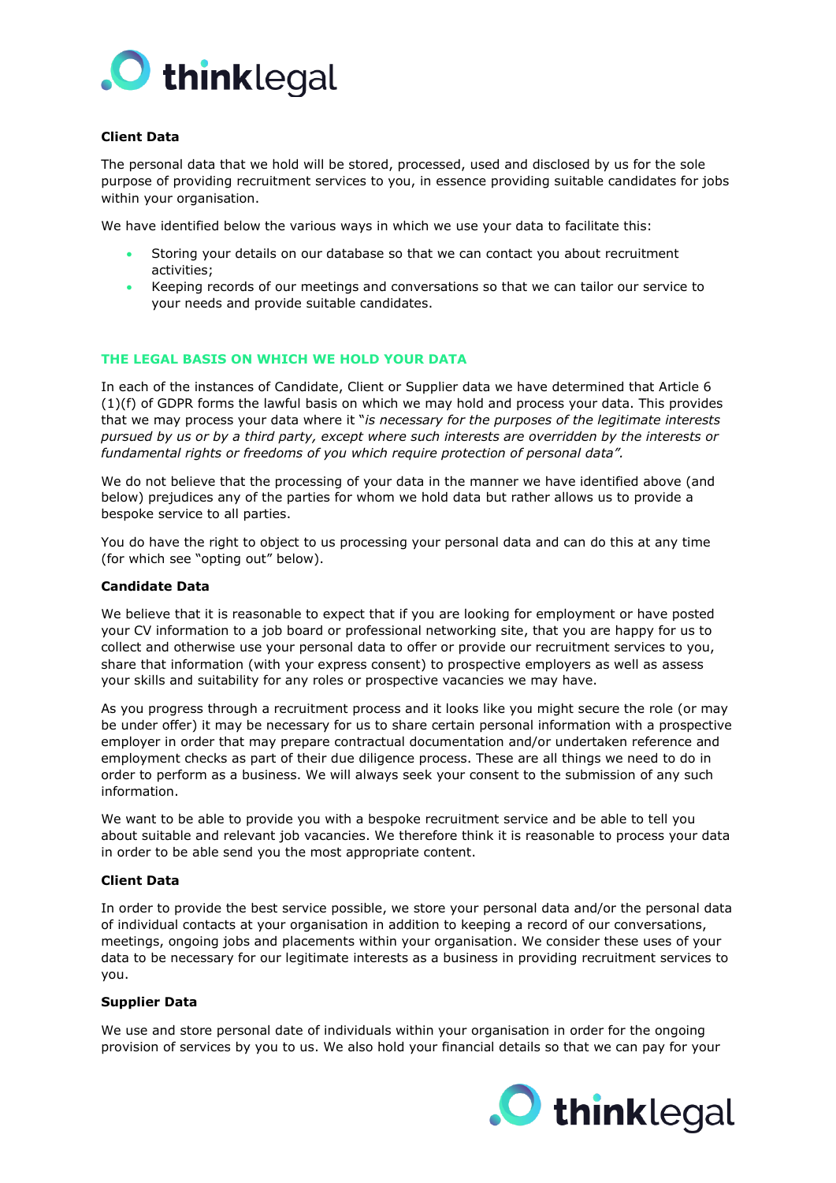

# **Client Data**

The personal data that we hold will be stored, processed, used and disclosed by us for the sole purpose of providing recruitment services to you, in essence providing suitable candidates for jobs within your organisation.

We have identified below the various ways in which we use your data to facilitate this:

- Storing your details on our database so that we can contact you about recruitment activities;
- Keeping records of our meetings and conversations so that we can tailor our service to your needs and provide suitable candidates.

## **THE LEGAL BASIS ON WHICH WE HOLD YOUR DATA**

In each of the instances of Candidate, Client or Supplier data we have determined that Article 6 (1)(f) of GDPR forms the lawful basis on which we may hold and process your data. This provides that we may process your data where it "*is necessary for the purposes of the legitimate interests pursued by us or by a third party, except where such interests are overridden by the interests or fundamental rights or freedoms of you which require protection of personal data".*

We do not believe that the processing of your data in the manner we have identified above (and below) prejudices any of the parties for whom we hold data but rather allows us to provide a bespoke service to all parties.

You do have the right to object to us processing your personal data and can do this at any time (for which see "opting out" below).

#### **Candidate Data**

We believe that it is reasonable to expect that if you are looking for employment or have posted your CV information to a job board or professional networking site, that you are happy for us to collect and otherwise use your personal data to offer or provide our recruitment services to you, share that information (with your express consent) to prospective employers as well as assess your skills and suitability for any roles or prospective vacancies we may have.

As you progress through a recruitment process and it looks like you might secure the role (or may be under offer) it may be necessary for us to share certain personal information with a prospective employer in order that may prepare contractual documentation and/or undertaken reference and employment checks as part of their due diligence process. These are all things we need to do in order to perform as a business. We will always seek your consent to the submission of any such information.

We want to be able to provide you with a bespoke recruitment service and be able to tell you about suitable and relevant job vacancies. We therefore think it is reasonable to process your data in order to be able send you the most appropriate content.

#### **Client Data**

In order to provide the best service possible, we store your personal data and/or the personal data of individual contacts at your organisation in addition to keeping a record of our conversations, meetings, ongoing jobs and placements within your organisation. We consider these uses of your data to be necessary for our legitimate interests as a business in providing recruitment services to you.

#### **Supplier Data**

We use and store personal date of individuals within your organisation in order for the ongoing provision of services by you to us. We also hold your financial details so that we can pay for your

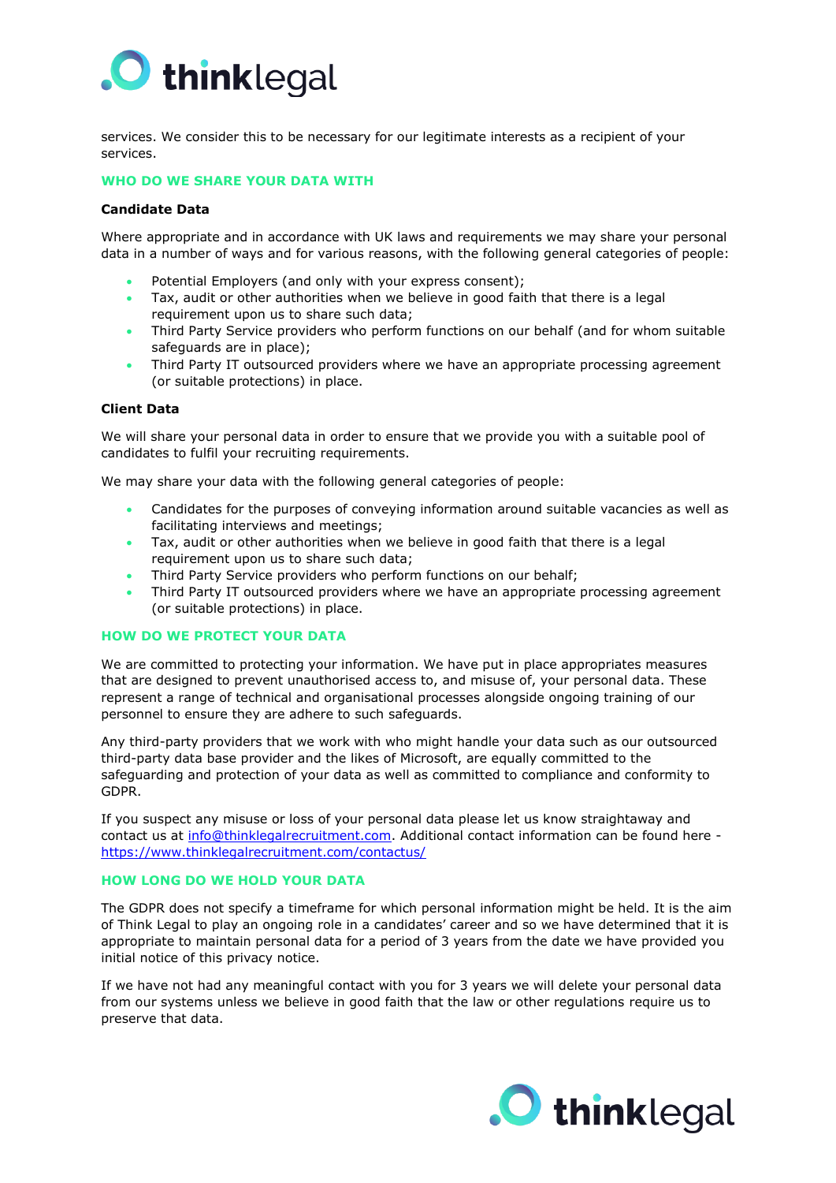

services. We consider this to be necessary for our legitimate interests as a recipient of your services.

# **WHO DO WE SHARE YOUR DATA WITH**

### **Candidate Data**

Where appropriate and in accordance with UK laws and requirements we may share your personal data in a number of ways and for various reasons, with the following general categories of people:

- Potential Employers (and only with your express consent);
- Tax, audit or other authorities when we believe in good faith that there is a legal requirement upon us to share such data;
- Third Party Service providers who perform functions on our behalf (and for whom suitable safeguards are in place);
- Third Party IT outsourced providers where we have an appropriate processing agreement (or suitable protections) in place.

#### **Client Data**

We will share your personal data in order to ensure that we provide you with a suitable pool of candidates to fulfil your recruiting requirements.

We may share your data with the following general categories of people:

- Candidates for the purposes of conveying information around suitable vacancies as well as facilitating interviews and meetings;
- Tax, audit or other authorities when we believe in good faith that there is a legal requirement upon us to share such data;
- Third Party Service providers who perform functions on our behalf;
- Third Party IT outsourced providers where we have an appropriate processing agreement (or suitable protections) in place.

#### **HOW DO WE PROTECT YOUR DATA**

We are committed to protecting your information. We have put in place appropriates measures that are designed to prevent unauthorised access to, and misuse of, your personal data. These represent a range of technical and organisational processes alongside ongoing training of our personnel to ensure they are adhere to such safeguards.

Any third-party providers that we work with who might handle your data such as our outsourced third-party data base provider and the likes of Microsoft, are equally committed to the safeguarding and protection of your data as well as committed to compliance and conformity to GDPR.

If you suspect any misuse or loss of your personal data please let us know straightaway and contact us at [info@thinklegalrecruitment.com.](mailto:info@thinklegalrecruitment.com) Additional contact information can be found here <https://www.thinklegalrecruitment.com/contactus/>

#### **HOW LONG DO WE HOLD YOUR DATA**

The GDPR does not specify a timeframe for which personal information might be held. It is the aim of Think Legal to play an ongoing role in a candidates' career and so we have determined that it is appropriate to maintain personal data for a period of 3 years from the date we have provided you initial notice of this privacy notice.

If we have not had any meaningful contact with you for 3 years we will delete your personal data from our systems unless we believe in good faith that the law or other regulations require us to preserve that data.

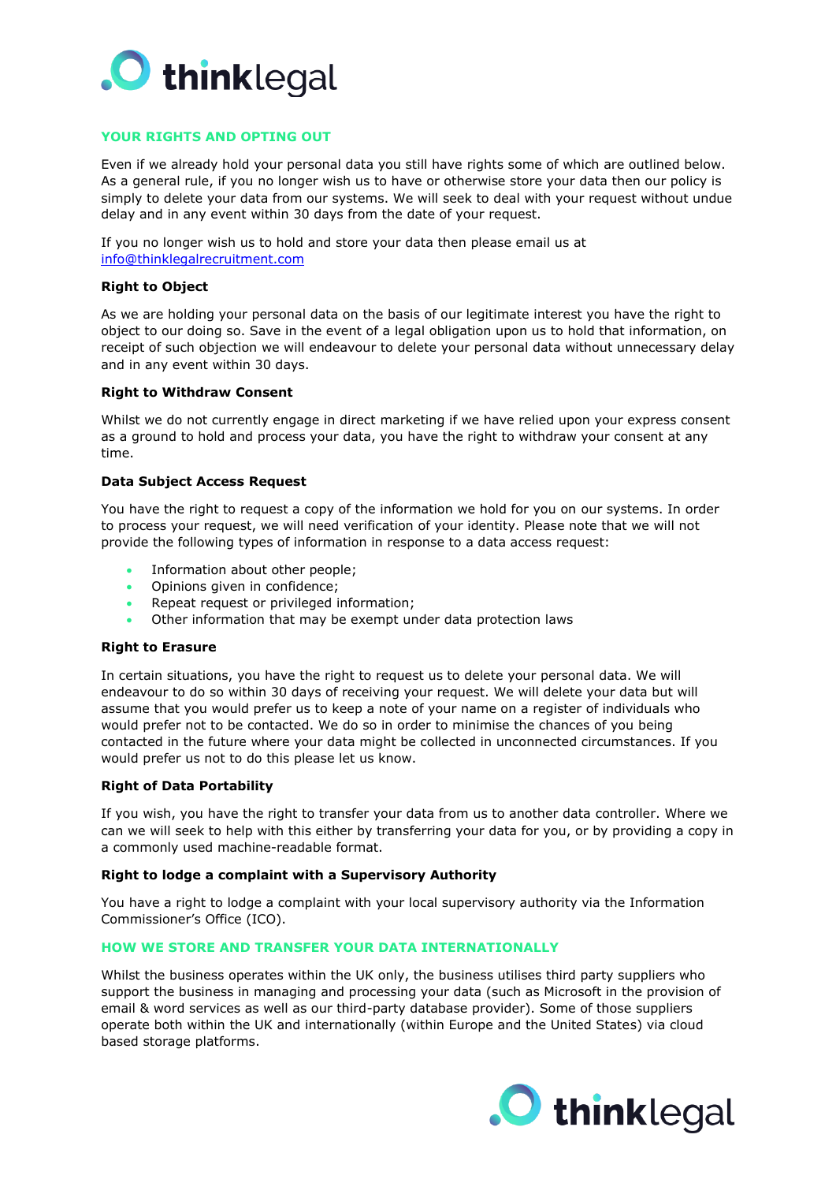

# **YOUR RIGHTS AND OPTING OUT**

Even if we already hold your personal data you still have rights some of which are outlined below. As a general rule, if you no longer wish us to have or otherwise store your data then our policy is simply to delete your data from our systems. We will seek to deal with your request without undue delay and in any event within 30 days from the date of your request.

If you no longer wish us to hold and store your data then please email us at [info@thinklegalrecruitment.com](mailto:info@thinklegalrecruitment.com)

### **Right to Object**

As we are holding your personal data on the basis of our legitimate interest you have the right to object to our doing so. Save in the event of a legal obligation upon us to hold that information, on receipt of such objection we will endeavour to delete your personal data without unnecessary delay and in any event within 30 days.

# **Right to Withdraw Consent**

Whilst we do not currently engage in direct marketing if we have relied upon your express consent as a ground to hold and process your data, you have the right to withdraw your consent at any time.

#### **Data Subject Access Request**

You have the right to request a copy of the information we hold for you on our systems. In order to process your request, we will need verification of your identity. Please note that we will not provide the following types of information in response to a data access request:

- Information about other people;
- Opinions given in confidence;
- Repeat request or privileged information;
- Other information that may be exempt under data protection laws

#### **Right to Erasure**

In certain situations, you have the right to request us to delete your personal data. We will endeavour to do so within 30 days of receiving your request. We will delete your data but will assume that you would prefer us to keep a note of your name on a register of individuals who would prefer not to be contacted. We do so in order to minimise the chances of you being contacted in the future where your data might be collected in unconnected circumstances. If you would prefer us not to do this please let us know.

## **Right of Data Portability**

If you wish, you have the right to transfer your data from us to another data controller. Where we can we will seek to help with this either by transferring your data for you, or by providing a copy in a commonly used machine-readable format.

#### **Right to lodge a complaint with a Supervisory Authority**

You have a right to lodge a complaint with your local supervisory authority via the Information Commissioner's Office (ICO).

## **HOW WE STORE AND TRANSFER YOUR DATA INTERNATIONALLY**

Whilst the business operates within the UK only, the business utilises third party suppliers who support the business in managing and processing your data (such as Microsoft in the provision of email & word services as well as our third-party database provider). Some of those suppliers operate both within the UK and internationally (within Europe and the United States) via cloud based storage platforms.